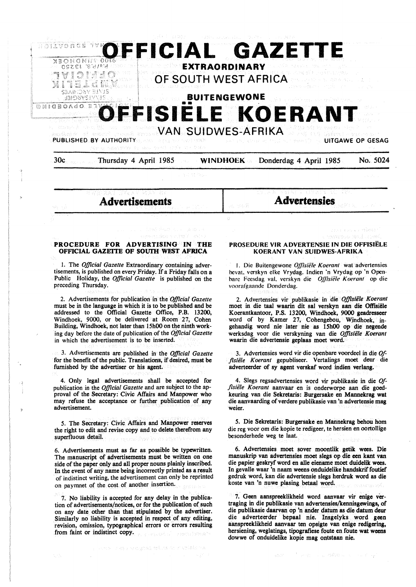

## **PROCEDURE FOR ADVERTISING IN THE OFFICIAL GAZEITE OF SOUfH WEST AFRICA**

1. The *Official Gazette* Extraordinary containing advertisements, is published on every Friday. If a Friday falls on a Public Holiday, the *Official Gazette* is published on the preceding Thursday.

2. Advertisements for publication in the *Official Gazette*  must be in the language in which it is to be published and be addressed to the Official Gazette Office, P.B. 13200, Windhoek, 9000, or be delivered at Room 27, Cohen Building, Windhoek, not later than 15h00 on the ninth working day before the date of publication of the *Official Gazette*  in which the advertisement is to be inserted.

3. Advertisements are published in the *Official Gazette*  for the benefit of the public. Translations, if desired, must be furnished by the advertiser or his agent.

4. Only legal advertisements shall be accepted for publication in the *Official Gazette* and are subject to the approval of the **Secretary:** Civic Affairs and **Manpower** who may refuse the acceptance or further publication of any advertisement.

5. The Secretary: Civic Affairs and Manpower reserves the right to edit and revise copy and to delete therefrom any superfluous detail.

6. Advertisements must as far as possible be typewritten. The manuscript of advertisements must be written on one side of the paper only and all proper nouns plainly inscribed. In the event of any name being incorrectly printed as a result of indistinct writing, the advertisement can only be reprinted on payrnnet of the cost of another insertion.

7. No liability is accepted for any delay in the publication of advertisements/notices, or for the publication of such on any date other than that stipulated by the advertiser. Similarly no liability is accepted in respect of any editing, revision, omission, typographical errors or errors resulting from faint or indistinct copy.

**PROSEDURE VIR ADVERTENSIE IN DIE OFFISIELE KOERANT VAN SUIDWES-AFRIKA** 

I. Die Buitengewone *Oj]isiele Koerant* wat advertensies bevat. verskyn elke Vrydag. lndien 'n Vrydag op ·n Openhare Feesdag val. verskyn die *OJ]isiele Koera111* op die voorafgaandc Donderdag.

2. Advertensies vir publikasie in die *Offisiele Koerant*  moet in die taal waarin dit sal verskyn aan die Offisiele Koerantkantoor, P.S. 13200, Windhoek, 9000 geadresseer word of by Kamer 27, Cohengebou, Windhoek, ingehandig word nie later nie as 15h00 op die negende werksdag voor die verskyning van die *Offisiele Koerant*  waarin die advertensie geplaas moet word.

3. Advertensies word vir die openbare voordeel in die *Offisiële Koerant* gepubliseer. Vertalings moet deur die adverteerder of **sy agent verskaf** word indien **verlang.** 

4. Slegs regsadvertensies word vir publikasie in die *Offisie/e Koerant* aanvaar en is onderworpe aan die goedkeuring van die Sekretaris: Burgersake en Mannekrag wat die aanvaarding of verdere publikasie van 'n advertensie mag weier.

5. Die Sekretaris: Burgersake en Mannekrag behou horn die reg voor om die kopie te redigeer, te hersien en oortollige besonderhede weg te laat.

6. Advertensies moet sover moontlik **getik wees.** Die manuskrip van advertensies moet slegs op die een kant van die papier geskryf word en alle eiename moet duidelik wees. In gevalle waar 'n naam weens onduidelike handskrif foutief gedruk word, kan die advertensie slegs herdruk word as die koste van 'n nuwe plasing betaal word.

7. Geen aanspreeklikheid word aanvaar vir enige vertraging in die publikasie van advertensies/kennisgewings, of die publikasie daarvan op 'n ander datum as die datum deur die adverteerder bepaal nie. Insgelyks word geen aanspreeklikheid aanvaar ten opsigte van enige redigering, hersiening, weglatings, tipografiese foute en foute wat weens dowwe of onduidelike kopie mag ontstaan nie.

some onless symptom tet. (x on a velob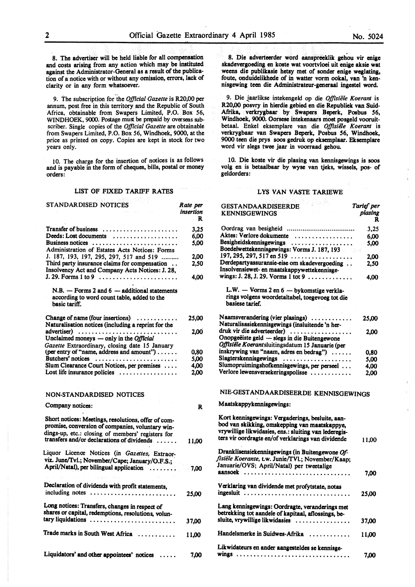8. The advertiser will be held liable for all compensation and costs arising from any action which may be instituted against the Administrator-General as a result of the publication of a notice with or without any omission, errors, lack of clarity or in any form whatsoever.

9. The subscription for the *Official Gazette* is R20,00 per annum, post free in this territory and the Republic of South Africa, obtainable from Swapers Limited, P.O. Box 56, WINDHOEK, 9000. Postage must be prepaid by overseas subscriber. Single copies of the *Official Gazette* are obtainable from Swapers Limited, P.O. Box 56, Windhoek, 9000, at the price as printed on copy. Copies are kept in stock for two years only.

10. The charge for the insertion of notices is as follows and is payable in the form of cheques, bills, postal or money orders:

## LIST OF FIXED TARIFF RATES

| STANDARDISED NOTICES                                                                                                                                                                                       | Rate per<br>insertion<br>R |
|------------------------------------------------------------------------------------------------------------------------------------------------------------------------------------------------------------|----------------------------|
| Transfer of business                                                                                                                                                                                       | 3,25                       |
| Deeds: Lost documents                                                                                                                                                                                      | 6,00                       |
| Business notices                                                                                                                                                                                           | 5.00                       |
| Administration of Estates Acts Notices: Forms                                                                                                                                                              |                            |
| J. 187, 193, 197, 295, 297, 517 and 519                                                                                                                                                                    | 2.00                       |
| Third party insurance claims for compensation<br>Insolvency Act and Company Acts Notices: J. 28,                                                                                                           | 2,50                       |
|                                                                                                                                                                                                            | 4,00                       |
| $N.B.$ - Forms 2 and 6 - additional statements<br>according to word count table, added to the<br>basic tariff.                                                                                             |                            |
| Change of name (four insertions) $\dots\dots\dots$                                                                                                                                                         | 25,00                      |
| Naturalisation notices (including a reprint for the                                                                                                                                                        |                            |
| advertiser)                                                                                                                                                                                                | 2,00                       |
| Unclaimed moneys - only in the Official                                                                                                                                                                    |                            |
| Gazette Extraordinary, closing date 15 January                                                                                                                                                             |                            |
| (per entry of "name, address and amount")                                                                                                                                                                  | 0,80                       |
| Butchers' notices                                                                                                                                                                                          | 5,00                       |
| Slum Clearance Court Notices, per premises                                                                                                                                                                 | 4,00                       |
| Lost life insurance policies                                                                                                                                                                               | 2.00                       |
| NON-STANDARDISED NOTICES                                                                                                                                                                                   |                            |
| Company notices:                                                                                                                                                                                           | R                          |
| Short notices: Meetings, resolutions, offer of com-<br>promise, conversion of companies, voluntary win-<br>dings-up, etc.: closing of members' registers for<br>transfers and/or declarations of dividends | 11,00                      |
| Liquor Licence Notices (in Gazettes, Extraor-                                                                                                                                                              |                            |
| viz. June/Tvl.; November/Cape; January/O.F.S.;                                                                                                                                                             |                            |
| April/Natal), per bilingual application                                                                                                                                                                    | 7,00                       |
|                                                                                                                                                                                                            |                            |
|                                                                                                                                                                                                            |                            |
| Declaration of dividends with profit statements,<br>including notes                                                                                                                                        | 25,00                      |
| Long notices: Transfers, changes in respect of<br>shares or capital, redemptions, resolutions, volun-                                                                                                      |                            |
| tary liquidations                                                                                                                                                                                          | 37,00                      |
| Trade marks in South West Africa                                                                                                                                                                           | 11.00                      |
| Liquidators' and other appointees' notices                                                                                                                                                                 | 7.00                       |

8. Die adverteerder word aanspreeklik gehou vir enige skadevergoeding en koste wat voortvloei uit enige aksie wat weens die publikasie hetsy met of sonder enige weglating, foute, onduidelikhede of in watter vorm ookal, van 'n kennisgewing teen die Administrateur-generaal ingestel word.

9. Die jaarlikse intekengeld op die *Offisiiile Koerant* is R20,00 posvry in hierdie gebied en die Republiek van Suid-Afrika, verkrygbaar by Swapers Beperk, Posbus 56, Windhoek, 9000. Oorsese intekenaars moet posgeld vooruitbetaal. Enkel eksemplare van die Offisiële Koerant is verkrygbaar van Swapers Beperk, Posbus 56, Windhoek, 9000 teen die prys soos gedruk op eksemplaar. Eksemplare word vir slegs twee jaar in voorraad gehou.

10. Die koste vir die plasing van kennisgewings is soos volg en is betaalbaar by wyse van tjeks, wissels, pos- of geldorders:

#### LYS VAN VASTE TARIEWE

| <b>GESTANDAARDISEERDE</b><br><b>KENNISGEWINGS</b>                                                                                                                                                                | Tarief per<br>plasing<br>R |
|------------------------------------------------------------------------------------------------------------------------------------------------------------------------------------------------------------------|----------------------------|
|                                                                                                                                                                                                                  | 3,25                       |
| Aktes: Verlore dokumente                                                                                                                                                                                         | 6,00                       |
| Besigheidskennisgewings                                                                                                                                                                                          | 5.00                       |
| Boedelwettekennisgewings: Vorms J. 187, 193                                                                                                                                                                      |                            |
| 197, 295, 297, 517 en 519 $\ldots$                                                                                                                                                                               | 2.00                       |
| Derdepartyassuransie-eise om skadevergoeding<br>Insolvensiewet- en maatskappywettekennisge-                                                                                                                      | 2,50                       |
| wings: J. 28, J. 29. Vorms 1 tot 9                                                                                                                                                                               | 4.00                       |
| L.W. - Vorms 2 en 6 - bykomstige verkla-<br>rings volgens woordetaltabel, toegevoeg tot die<br>basiese tarief.                                                                                                   |                            |
| Naamsverandering (vier plasings)<br>Naturalisasiekennisgewings (insluitende 'n her-                                                                                                                              | 25,00                      |
| druk vir die adverteerder)                                                                                                                                                                                       | 2,00                       |
| Onopgeëiste geld - slegs in die Buitengewone                                                                                                                                                                     |                            |
| Offisiële Koerantsluitingsdatum 15 Januarie (per                                                                                                                                                                 |                            |
| inskrywing van "naam, adres en bedrag")                                                                                                                                                                          | 0,80                       |
| Slagterskennisgewings                                                                                                                                                                                            | 5.00                       |
| Slumopruimingshofkennisgewings, per perseel<br>Verlore lewensversekeringspolisse                                                                                                                                 | 4,00                       |
|                                                                                                                                                                                                                  | 2,00                       |
| NIE-GESTANDAARDISEERDE KENNISGEWINGS                                                                                                                                                                             |                            |
| Maatskappykennisgewings:                                                                                                                                                                                         |                            |
| Kort kennisgewings: Vergaderings, besluite, aan-<br>bod van skikking, omskepping van maatskappye,<br>vrywillige likwidasies, ens.: sluiting van lederegis-<br>ters vir oordragte en/of verklarings van dividende | 11.00                      |
| Dranklisensiekennisgewings (in Buitengewone Of-<br>fisiële Koerante, t.w. Junie/TVI.; November/Kaap;<br>Januarie/OVS; April/Natal) per tweetalige                                                                |                            |
|                                                                                                                                                                                                                  | 7,00                       |
| Verklaring van dividende met profytstate, notas<br>ingesluit                                                                                                                                                     | 25,00                      |
| Lang kennisgewings: Oordragte, veranderings met<br>betrekking tot aandele of kapitaal, aflossings, be-                                                                                                           |                            |
| sluite, vrywillige likwidasies                                                                                                                                                                                   | 37,00                      |
| Handelsmerke in Suidwes-Afrika                                                                                                                                                                                   | 11,00                      |
| Likwidateurs en ander aangesteldes se kennisge-                                                                                                                                                                  | 7,00                       |
|                                                                                                                                                                                                                  |                            |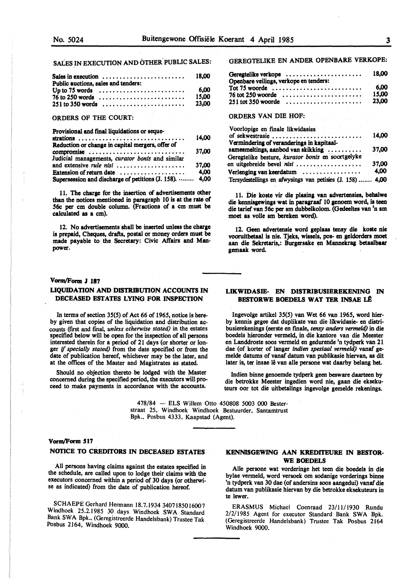SALES IN EXECUTION AND OTHER. PUBLIC SALES:

| Public auctions, sales and tenders: |       |
|-------------------------------------|-------|
|                                     | 6.00  |
| $76$ to 250 words                   | 15.00 |
|                                     | 23.00 |

#### ORDERS OF THE COURT:

Provisional and final liquidations or seque-

| strations                                                 | 14.00 |
|-----------------------------------------------------------|-------|
| Reduction or change in capital mergers, offer of          |       |
| compromise                                                | 37,00 |
| Judicial managements, curator bonis and similar           |       |
|                                                           | 37,00 |
| Extension of return date $\dots\dots\dots\dots\dots\dots$ | 4.00  |
| Supersession and discharge of petitions (J. 158).  4,00   |       |

11. The charge for the insertion of advertisements other than the notices mentioned in paragraph 10 is at the rate of **56c per** cm double column. (Fractions of **a** cm must be calculated **as a** cm).

12. No advertisements shall be inserted unless the **charge**  is prepaid, Cheques, drafts, postal or money orders must be made payable to the Secretary: Civic Affairs and Manpower.

## **Vom,/Fonn J 187**

## **LIQUIDATION AND DISTRIBUTION ACCOUNTS IN DECEASED ESTATES LYING FOR INSPECTION**

In terms of section 35(5) of Act 66 of 1965, notice is hereby given that copies of the liquidation and distribution accounts (first and final, *unless otherwise stated)* in the estates specified below wilJ be open for the inspection of all persons interested therein for a period of 21 days (or shorter or longer if *specially stated)* from the date specified or from the date of publication hereof, whichever may be the later, and at the offices of the Master and Magistrates as stated.

Should no objection thereto be lodged with the Master concerned during the specified period, the executors will proceed to make payments in accordance with the accounts.

> 478/84 - ELS Willem Otto 450808 5003 000 Besterstraat 25, Windhoek Windhoek Bestuurder, Santamtrust

## **Vorm/Form 517**

## **NOTICE TO CREDITORS** IN **DECEASED ESTATES**

All persons having claims against the estates specified in the schedule, are called upon to lodge their claims with the executors concerned within a period of 30 days (or otherwise as indicated) from the date of publication hereof.

SCHAEPE Gerhard Hermann 18.7.1934 3407185016007 Windhoek 25.2.1985 30 days Windhoek SWA Standard Bank SWA Bpk., (Geregistreerde Handelsbank) Trustee Tak Posbus 2164, Windhoek 9000.

# GEREGTELIKE EN ANDER OPENBARE VERKOPE:

| Geregtelike verkope                    |       |  |
|----------------------------------------|-------|--|
| Openbare veilings, verkope en tenders: |       |  |
| Tot $75$ woorde                        | 6.00  |  |
| $76$ tot 250 woorde                    | 15.00 |  |
| $251$ tot 350 woorde                   | 23.00 |  |

#### ORDERS VAN DIE HOF:

| Voorlopige en finale likwidasies                          |       |
|-----------------------------------------------------------|-------|
| of sekwestrasie                                           | 14.00 |
| Vermindering of veranderings in kapitaal-                 |       |
| samesmeltings, aanbod van skikking                        | 37.00 |
| Geregtelike besture, kurator bonis en soortgelyke         |       |
| en uitgebreide bevel nisi                                 | 37.00 |
| Verlenging van keerdatum                                  | 4,00  |
| Tersydestellings en afwysings van petisies (J. 158)  4,00 |       |

11. Die koste vir die plasing van advertensies, behalwe **die kennisgewings wat** in paragraaf 10 genoem word, is teen **die tarief van 56c per** sm dubbelkolom. **(Gedeeltes van** <sup>1</sup> n sm moet as volle sm bereken word).

12. Geen advertensie word geplaas tensy die koste nie vooruitbetaal **is nie.** Tjelts, wissels, pos- en **geldorders** moet aan die **Seltretaris,: Burgersake** en **Mannekrag betaalbaar**  gemaak word.

### **LIKWIDASIE- EN DISTRIBUSIEREKENING** IN **BESTORWE BOEDELS WAT TER INSAE L£**

lngevolge artikel 35(5) van Wet 66 van 1965, word bierby kennis gegee dat duplikate van die likwidasie- en distribusierekenings (eerste en fmale, *tensy anders vermeld)* in die boedels hieronder vermeld, in die kantore van die Meester en Landdroste soos vermeld en gedurende 'n tydperk van 21 dae (of korter of langer *indien spesiaal vermeld)* vanaf gemelde datums of vanaf datum van publikasie hiervan, as dit later is, ter insae lê van alle persone wat daarby belang het.

Indien binne genoemde tydperk geen besware daarteen by die betrokke Meester ingedien word nie, gaan die eksekuteurs oor tot die uitbetalings **ingevolge gemelde rekenings.** 

Bpk., Posbus 4333, Kaapstad (Agent).

## **KENNISGEWING AAN KREDITEURE** IN **BESTOR-WE BOEDELS**

Alie persone wat vorderinge bet teen die boedels in die bylae vermeld, word versoek om sodanige vorderings binne 'n tydperk van 30 dae (of andersins soos aangedui) vanaf die datum van publikasie hiervan by die betrokke eksekuteurs in te lewer.

ERASMUS Michael Coenraad 23/11/1930 Rundu 2/2/1985 Agent for executor Standard Bank SWA Bpk. (Geregistreerde Handelsbank) Trustee Tak Posbus 2164 Windhoek 9000.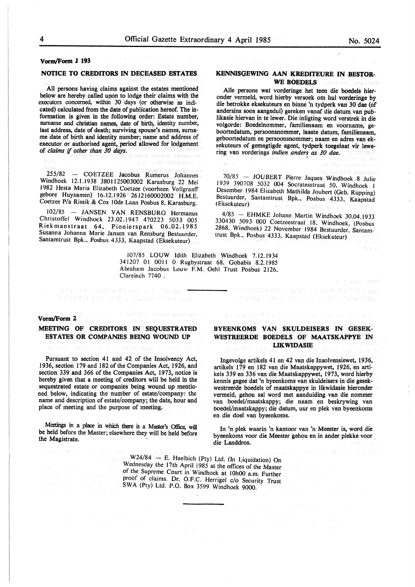## **Vorm/Form J 193**

## **NOTICE TO CREDITORS** IN **DECEASED ESTATES**

All persons having claims against the estates mentioned below are hereby called upon to lodge their claims with the executors concerned, within 30 days (or otherwise as indicated) calculated from the date of publication hereof. The information is given in the following order: Estate number, surname and christian names, date of birth, identity number, last address, date of death; surviving spouse's names, surname date of birth and identity number; name and address of executor or authorised agent, period allowed for lodgement of *claims* if *other than 30 days.* 

255/82 - COETZEE Jacobus Rumerus Johannes Windhoek 12.1.1938 3801125003002 Karasburg 22 Mei 1982 Hesta Maria Elizabeth Coetzee (voorheen Vollgraaff gebore Huysamen) 16.12.1926 2612160002002 H.M.E. Coetzee P/a Rissik & Cox lOde Laan Posbus 8. Karasburg.

l02/85 - JANSEN VAN RENSBURG Hermanus Christoffel Windhoek 23.02.1947 470223 5033 005 Riekmanstraat 64, Pionierspark 06.02.1985 Susanna Johanna Marie Jansen van Rensburg Bestuurder. Santamtrust Bpk., Posbus 4333, Kaapstad (Eksekuteur)

> l07/85 LOUW Idith Elizabeth Windhoek 7.12.1934 34 1207 01 0011 0 Rugbystraat 68, Gobabis 8.2.1985 Abraham Jacobus Louw F.M. Oehl Trust Posbus 2126, Clareinch 7740 .

#### **Vorm/Form 2**

## **MEETING OF CREDITORS** IN **SEQUESTRATED ESTATES OR COMPANIES BEING WOUND UP**

 $\mathcal{O}(\mathcal{M}(1), \mathcal{O}(1), \mathcal{O}(2)) \mathcal{O}(\mathcal{M}(1), \mathcal{O}(1), \mathcal{O}(1)) \times (1-\mathcal{O}(1), \mathcal{O}(1))$ 

l e elabat delle edifica deportement

Pursuant to section 41 and 42 of the Insolvency Act, 1936, section 179 and 182 of the Companies Act, 1926, and section 339 and 366 of the Companies Act, 1973, notice is hereby given that a meeting of creditors will be held in the sequestrated estate or companies being wound up mentioned below, indicating the number of estate/company: the name and description of estate/company; the date, hour and place of meeting and the purpose of meeting.

Meetings in a place in which there is a Master's Office, will be held before the Master; elsewhere they will be held before the Magistrate.

## **KENNISGEWING AAN KREDITEURE IN BESTOR-WE BOEDELS**

Aile persone wat vorderinge het teen die boedels hieronder vermeld, word hierby versoek om hul vorderinge by die betrokke eksekuteurs en binne 'n tydperk van 30 dae {of andersins soos aangedui) gereken vanaf die datum van publikasie hiervan in te lewer. Die inligting word verstrek in die volgorde: Boedelnommer, familienaam en voorname. geboortedatum, persoonsnommer, laaste datum, familienaam, geboortedatum en persoonsnommer; naam en adres van eksekuteurs of gemagtigde agent, tydperk toegelaat vir lewering van vorderings *indien anders as 30 dae*.

70/85 - JOUBERT Pierre Jaques Windhoek 8 Julie 1939 390708 5032 004 Socratesstraat 50. Windhoek I Desember 1984 Elizabeth Mathilda Joubert (Geb. Rupping) Bestuurder. Santamtrust Bpk., Posbus 4333, Kaapstad (Eksekuteur)

 $4/85$  - EHMKE Johann Martin Windhoek 30.04.1933 330430 5093 000 Coetzeestraat 18. Windhoek. (Posbus 2868. Windhoek) 22 November 1984 Bestuurder, Santamtrust Bpk., Posbus 4333, Kaapstad (Eksekuteur)

**BYEENKOMS VAN SKULDEISERS IN GESEK-WESTREERDE BOEDELS OF MAATSKAPPYE IN LIKWIDASIB** 

mission modular (2001). New C

 $\rightarrow$  - and so the same part in the second part  $\mu_{\rm ph}$ 

· (前向我被翻开, 好行可以把握了, 在它的 (人名克兰克斯森克 ) (2) (6)

lngevolge artikels 41 en 42 van die Insolvensiewet, 1936, artikels 179 en 182 van die Maatskappywet, 1926, en artikels 339 en 336 van die Maatskappywet, 1973, word hierby kennis gegee dat 'n byeenkoms van skuldeisers in die gesekwestreerde boedels of maatskappye in likwidasie hieronder vermeld, gehou sal word met aanduiding van die nommer van boedel/maatskappy; die naam en beskrywing van boedel/maatskappy; die datum, uur en plek van byeenkoms en die doe! van byeenkoms.

In 'n plek waarin 'n kantoor van 'n Meester is, word die byeenkoms voor die Meester gehou en in ander plekke voor , die Landdros.

 $W24/84 - E$ . Haelbich (Pty) Ltd. (In Liquidation) On Wednesday the 17th April 1985 at the offices of the Master of the Supreme Court in Windhoek at IOhOO a.m. Further proof of claims. Dr. O.F.C. Herrigel c/o Security Trust SWA (Pty) Ltd. P.O. Box 3599 Windhoek 9000.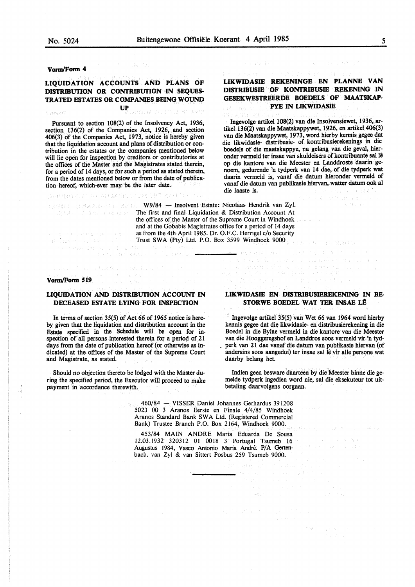San Albanya (BSD)

**vorm/Form 4** 

## **LIQUIDATION ACCOUNTS AND PLANS OF DISTRIBUTION OR CONTRIBUTION IN SEQUES-TRATED ESTATES OR COMPANIES BEING WOUND UP**

anna Coola Som Ado

saya was a sheet of the diversity of the

Pursuant to section 108(2) of the Insolvency Act, 1936, section 136(2) of the Companies Act, 1926, and section 406(3) of the Companies Act, 1973, notice is hereby given that the liquidation account and plans of distribution or contribution in the estates or the companies mentioned below will lie open for inspection by creditors or contributories at the offices of the Master and the Magistrates stated therein, for a period of 14 days, or for such a period as stated therein, from the dates mentioned below or from the date of publication hereof, which-ever may be the later date.

医原子基因 不同的 不是是不能的人不是福 电锁定器 计自动程序

## **LIKWIDASIE REKENINGE EN PLANNE VAN DISTRIBUSIE OF KONTRIBUSIE REKENING IN GESEKWESTREERDE BOEDELS OF MAATSKAP-PYE** IN **LIKWIDASIE**

Ingevolge artikel 108(2) van die Insolvensiewet, 1936, artikel 136(2) van die Maatskappywet, 1926, en artikel 406(3) van die Maatskappywet, 1973, word hierby kennis gegee dat die likwidasie- distribusie- of kontribusierekenings in die boedels of die maatskappye, na gelang van die geval, hieronder vermeld ter insae van skuldeisers of kontribuante sal lê op die kantore van die Meester en Landdroste daarin genoem, gedurende 'n tydperk van 14 dae, of die tydperk wat daarin vermeld is, vanaf die datum hieronder vermeld of vanaf die datum van publikasie hiervan, watter datum ook al die laaste is. ·

W9/84 - Insolvent Estate: Nicolaas Hendrik van Zyl. **The first and final Liquidation & Distribution Account At** the offices of the Master of the Supreme Court in Windhoek and at the Gobabis Magistrates office for a period of 14 days as from the 4th April 1985. Dr. O.F.C. Herrigel c/o Security Trust SWA (Pty) Ltd. P.O. Box 3599 Windhoek 9000

#### **Vorm/Form 519**

a lower of the same of the same

the company will be a more in

## **LIQUIDATION AND DISTRIBUTION ACCOUNT** IN **DECEASED ESTATE LYING FOR INSPECTION**

In terms of section 35(5) of Act 66 of 1965 notice is hereby given that the liquidation and distribution account in the Estate specified in the Schedule will be open for inspection of all persons interested therein for a period of 21 days from the date of publication hereof (or otherwise as indicated) at the offices of the Master of the Supreme Court and Magistrate, as stated.

Should no objection thereto be lodged with the Master during the specified period, the Executor will proceed to make payment in accordance therewith.

## **LIKWIDASIE EN DISTRIBUSIEREKENING IN** BE-**STORWE BOEDEL WAT TER INSAE LÊ**

■ おおさつねん マローデ (主義科) 不可以 ちょうきょうきん

 $-323.02333743$ 

Ingevolge artikel 35(5) van Wet 66 van 1964 word hierby kennis gegee dat die likwidasie- en distribusierekening in die Boedel in die Bylae vermeld in die kantore van die Meester van die Hooggeregshof en Landdros soos vermeld vir 'n tydperk van 21 dae vanaf die datum van publikasie hiervan (of andersins soos aangedui) ter insae sal lê vir alle persone wat daarby belang het.

Indien geen besware daarteen by die Meester binne die gemelde tydperk ingedien word nie, sal die eksekuteur tot uitbetaling daarvolgens oorgaan.

 $\label{eq:1} \mathbb{E} \left[ \mathbb{E} \left[ \mathcal{E} \right] \mathcal{M}_{\text{S}} \right] = \mathbb{E} \left[ \mathcal{E} \left[ \mathcal{L}_{\text{S}} \right] \right]$ 

460/84 - VISSER Daniel Johannes Gerhardus 391208 5023 00 3 Aranos Eerste en Finale 4/4/85 Windhoek Aranos Standard Bank SWA Ltd. (Registered Commercial Bank) Trustee Branch P.O. Box 2164, Windhoek 9000.

453/84 **MAIN** ANDRE Maria Eduarda De Sousa 12.03.1932 320312 01 0018 3 Portugal Tsumeb 16 Augustus 1984, Vasco Antonio Maria Andre. P/A Gertenbach, van Zyl & van Sittert Posbus 259 Tsumeb 9000.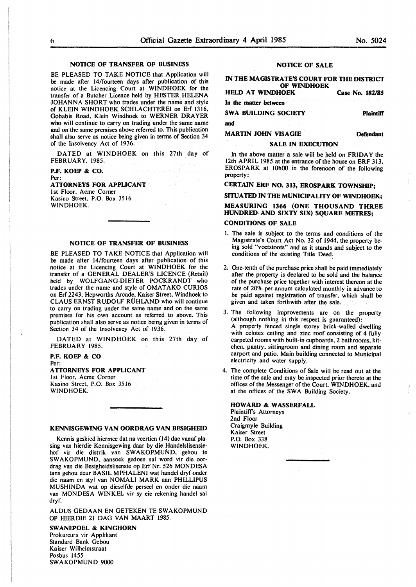## **NOTICE OF TRANSFER OF BUSINESS**

BE PLEASED TO TAKE NOTICE that Application will **be** made after 14/fourteen days after publication of this notice at the Licencing Court at WINDHOEK for the transfer of a Butcher Licence held by HESTER HELENA JOHANNA SHORT who trades under the name and style of KLEIN WINDHOEK SCHLACHTEREI on Erf 1316, Gobabis Road. Klein Windhoek to WERNER DRAYER **who** will continue to carry on trading under the same name **and** on the same premises above referred to. This publication shall also serve as notice being given in terms of Section 34 of the Insolvency Act of 1936.

DATED at **WINDHOEK** on this 27th day of FEBRUARY. 1985.

#### **P.F. KOEP** & **CO.**  Per:

# **ATTORNEYS FOR APPUCANT**

I st Floor. Acme Corner Kasino Street. P.O. Box 3516 **WINDHOFK.** 

## **NOTICE OF TRANSFER OF BUSINESS**

BE PLEASED TO TAKE NOTICE that Application will **be** made after 14/fourteen days after publication of this notice at the Licencing Court at WINDHOEK for the transfer of a GENERAL DEALER'S LICENCE (Retail) held by WOLFGANG-DIETER POCKRANDT who trades under the name and style of OMATAKO CURIOS on Erf 2243. Hepworths Arcade, Kaiser Street, Windhoek to CLAUS ERNST RUDOLF RUHLAND who will continue to carry on trading under the same name and on the same premises for his own account as referred to above. This publication shall also serve as notice being given in terms of Section 34 of the Insolvency Act of 1936.

DATED at **WINDHOEK** on this 27th day of **FEBRUARY** 1985.

#### **P.F. KOEP** & **CO**  Per:

## **ATTORNEYS FOR APPUCANT**

I st Floor. Acme Corner Kasino Street. P.O. Box 3516 WINDHOEK.

#### **KENNISGEWING VAN OORDRAG VAN BESIGHEID**

Kennis geskied hiermee dat na veertien (14) dae vanaf plasing van hierdie Kennisgewing daar by die Handelslisensiehof vir die distrik van SWAKOPMUND, gehou te SWAKOPMUND. aansoek gedoen sal word vir die oordrag van die Besigheidslisensie op Erf Nr. 526 MONDESA tans gehou deur BASIL MPHALENI wat handel dryf onder die naam en styl van NOMALI MARK aan PHILLIPUS MUSHINDA wat op dieselfde perseel en onder die naam van MONDESA WINKEL vir sy eie rekening handel sal dryf.

ALDUS GEDAAN EN GETEKEN TE SWAKOPMUND OP HIERDIE 21 DAG VAN MAART 1985.

#### **SWANEPOEL** & **KINGHORN**

Prokureurs vir Applikant Standard Bank Gebou Kaiser Wilhelmstraat Posbus 1455 SWAKOPMUND 9000

#### **NOTICE OF SALE**

#### IN **THE MAGISTRATE'S COURT FOR THE DISTRICT OF WINDHOEK**

|  | <b>HELD AT WINDHOEK</b> |  |  | Case No. 182/85   |
|--|-------------------------|--|--|-------------------|
|  | In the matter between   |  |  | アーバー・アル せんかい めいきん |

**SWA BUILDING SOCIETY** 

**and** 

## **MARTIN JOHN VISAGIE**

#### **SALE IN EXECUTION**

In the above matter a sale will be held on FRIDAY the 12th APRIL 1985 at the entrance of the house on ERF 313, EROSPARK at 10h00 in the forenoon of the following property:

**CERTAIN ERF NO. 313, EROSPARK TOWNSHIP;** 

**SITUATED IN THE MUNICIPALITY OF WINDHOEK;** 

## **MEASURING 1366 (ONE THOUSAND THREE HUNDRED AND SIXTY SIX) SQUARE METRES;**

#### **CONDITIONS OF SALE**

- I. The sale is subject to the terms and conditions of the Magistrate's Court Act No. 32 of 1944, the property being sold "voetstoots" and as it stands and subject to the conditions of the existing Title Deed.
- 2. One-tenth of the purchase price shall be paid immediately after the property is declared to be sold and the balance of the purchase price together with interest thereon at the rate of 20% per annum calculated monthly in advance to be paid against registration of transfer, which shall be given and taken forthwith after the sale.
- 3. The following improvements are on the property (although nothing in this respect is guaranteed): A properly fenced single storey brick-walled dwelling with celotex ceiling and zinc roof consisting of 4 fully carpeted rooms with built-in cupboards, 2 bathrooms, kitchen. pantry. sittingroom and dining room and separate carport and patio. Main building connected to Municipal electricity and water supply.
- 4. The complete Conditions of Sale will be read out at the time of the sale and may be inspected prior thereto at the offices of the Messenger of the Court, WINDHOEK, and at the offices of the SWA Building Society.

**HOWARD** & **WASSERFALL**  Plaintiff's Attorneys 2nd Floor Craigmyle Building Kaiser Street P.O. Box 338 WINDHOEK.

**Defendant** 

**Plaintiff'**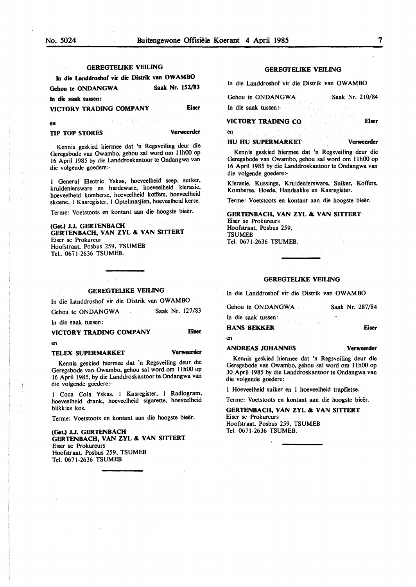en

## **GEREGTELIKE VEILING**

| In die Landdroshof vir die Distrik van OWAMBO |  |                 |
|-----------------------------------------------|--|-----------------|
| Gehou te ONDANGWA                             |  | Saak Nr. 152/83 |
| In die saak tussen:<br>control of the         |  |                 |

**VICTORY TRADING COMPANY Eiser** 

**en** 

**TIP TOP STORES Verweerder** 

Kennis geskied hiermee dat 'n Regsveiling deur die Geregsbode van Owambo, gehou sal word om 11h00 op 16 April 1985 by die Landdroskantoor te Ondangwa van die volgende goedere:-

1 General Electric Yskas, hoeveelheid seep, suiker, kruideniersware en hardeware. hoeveelheid klerasie, hoeveelheid komberse, hoeveelheid koffers, hoeveelheid skoene. 1 Kasregister, I Optelmasjien, hoeveelheid kerse.

Terme: Voetstoots en kontant aan die hoogste bieër.

**(Get.) J.J. GERTENBACH GERTENBACH, VAN ZYL** & **VAN SITTERT**  Eiser se Prokureur Hoofstraat. Posbus 259, TSUMEB Tel.. 0671-2636 TSUMEB.

## **GEREGTEUKE VEILING**

In die Landdroshof vir die Distrik van OWAMBO

Gehou te ONDANGWA Saak Nr. 127/83

In die saak tussen:

**VICTORY TRADING COMPANY**  en **Eiser** 

#### **TELEX SUPERMARKET Verweerder**

Kennis geskied hiermee dat 'n Regsveiling deur die Geregsbode van Owambo, gehou sal word om 11h00 op 16 April 1985, by die Landdroskantoor te Ondangwa van die volgende goedere:-

1 Coca Cola Yskas, l Kasregister, l Radiogram, hoeveelheid drank, hoeveelheid sigarette, hoeveelheid blikkies kos.

Terme: Voetstoots en kontant aan die hoogste bieër.

**(Get.) J.J. GERTENBACH GERTENBACH, VAN ZYL** & **VAN SITTERT**  Eiser se Prokureurs Hoofstraat. Posbus 259, TSUMEB Tel. 0671-2636 TSUMEB

#### **GEREGTELIKE VEILING**

ln die Landdroshof vir die Distrik van **OWAMBO** 

| Gehou te ONDANGWA<br>医心包 医心包 医心包 医心脏 医单位 医骨盆静脉 医不能性 |  |  |                                                  |  |  | Saak Nr. 210/84 |  |  |
|-----------------------------------------------------|--|--|--------------------------------------------------|--|--|-----------------|--|--|
|                                                     |  |  |                                                  |  |  |                 |  |  |
|                                                     |  |  | In die saak tussen:- Andere werden werden werden |  |  |                 |  |  |

**VICTORY TRADING CO Eiser** 

**HU HU SUPERMARKET Verweerder** 

Kennis geskied hiermee dat 'n Regsveiling deur die Geregsbode van Owambo, gehou sal word om 11h00 op 16 April 1985 by die Landdroskantoor te Ondangwa van die volgende goedere:-

Klerasie, Kussings, Kruideniersware, Suiker, Koffers, Komberse, Hoede, Handsakke en Kasregister.

Terme: Voetstoots en kontant aan die hoogste bieër.

**GERTENBACH, VANZYL** & **VAN SITTERT**  Eiser se Prokureurs Hoofstraat. Posbus 259, **TSUMEB** Tel. 0671-2636 TSUMEB.

#### **GEREGTEUKE VEILING**

ln die Landdroshof vir die Distrik van OWAMBO

| Gehou te ONDANGWA        | Saak Nr. 287/84 |
|--------------------------|-----------------|
| In die saak tussen:      |                 |
| <b>HANS BEKKER</b>       | Eiser           |
| en<br>アンティー・サーバ なおよす しょね |                 |

#### **ANDREAS JOHANNES**

**Verweerder** 

Kennis geskied hiermee dat 'n Regsveiling deur die Geregsbode van Owambo, gehou sal word om 11h00 op 30 April 1985 by die Landdroskantoor te Ondangwa van die volgende goedere:

l Hoeveelheid suiker en I hoeveelheid trapfietse.

Terme: Voetstoots en kontant aan die hoogste bieër.

#### **GERTENBACH, VANZYL** & **VAN SITTERT**

Eiser se Prokureurs Hoofstraat, Posbus 259, TSUMEB Tel. 0671-2636 TSUMEB.